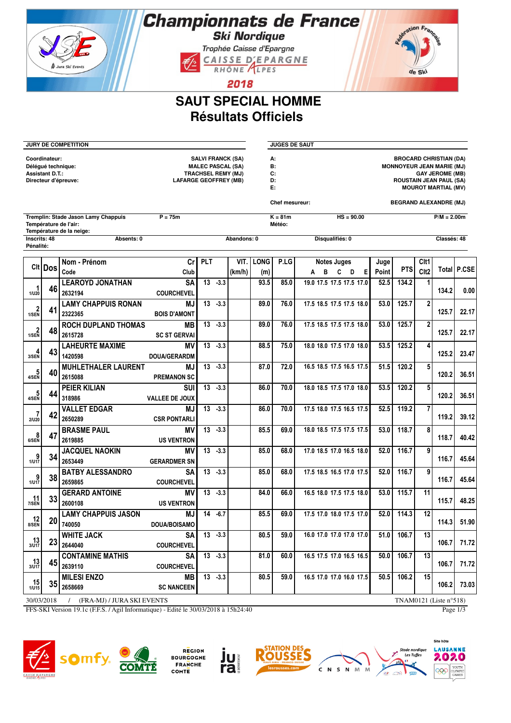## Championnats de France **Ski Nordique**

Trophée Caisse d'Epargne CAISSE D'EPARGNE



2018

## **SAUT SPECIAL HOMME Résultats Officiels**

| <b>JURY DE COMPETITION</b>                                                            |                |                                                                                          |                                  |                                                                                                                   |            |             |             | <b>JUGES DE SAUT</b>                            |                          |                                                                                                                                                             |            |                  |               |         |  |  |
|---------------------------------------------------------------------------------------|----------------|------------------------------------------------------------------------------------------|----------------------------------|-------------------------------------------------------------------------------------------------------------------|------------|-------------|-------------|-------------------------------------------------|--------------------------|-------------------------------------------------------------------------------------------------------------------------------------------------------------|------------|------------------|---------------|---------|--|--|
| Coordinateur:<br>Délégué technique:<br><b>Assistant D.T.:</b><br>Directeur d'épreuve: |                |                                                                                          |                                  | <b>SALVI FRANCK (SA)</b><br><b>MALEC PASCAL (SA)</b><br><b>TRACHSEL REMY (MJ)</b><br><b>LAFARGE GEOFFREY (MB)</b> |            |             |             | А:<br>В:<br>C:<br>D:<br>E:                      |                          | <b>BROCARD CHRISTIAN (DA)</b><br><b>MONNOYEUR JEAN MARIE (MJ)</b><br><b>GAY JEROME (MB)</b><br><b>ROUSTAIN JEAN PAUL (SA)</b><br><b>MOUROT MARTIAL (MV)</b> |            |                  |               |         |  |  |
|                                                                                       |                |                                                                                          |                                  |                                                                                                                   |            |             |             | Chef mesureur:<br><b>BEGRAND ALEXANDRE (MJ)</b> |                          |                                                                                                                                                             |            |                  |               |         |  |  |
|                                                                                       |                | Tremplin: Stade Jason Lamy Chappuis<br>Température de l'air:<br>Température de la neige: | $P = 75m$                        |                                                                                                                   |            |             |             | $K = 81m$<br>Météo:                             | $HS = 90.00$             |                                                                                                                                                             |            |                  | $P/M = 2.00m$ |         |  |  |
| Inscrits: 48<br>Pénalité:                                                             |                | Absents: 0                                                                               |                                  |                                                                                                                   |            | Abandons: 0 |             |                                                 | Disqualifiés: 0          |                                                                                                                                                             |            |                  | Classés: 48   |         |  |  |
|                                                                                       |                | Nom - Prénom                                                                             | cr                               | PLT                                                                                                               |            | VIT.        | <b>LONG</b> | P.LG                                            | <b>Notes Juges</b>       | Juge                                                                                                                                                        |            | Clt1             |               |         |  |  |
|                                                                                       | <b>CIt Dos</b> | Code                                                                                     | Club                             |                                                                                                                   |            | (km/h)      | (m)         |                                                 | в<br>C<br>D<br>Е<br>A    | Point                                                                                                                                                       | <b>PTS</b> | Clt <sub>2</sub> | Total         | I P.CSE |  |  |
| 1<br>1/U20                                                                            | 46             | <b>LEAROYD JONATHAN</b><br>2632194                                                       | <b>SA</b><br><b>COURCHEVEL</b>   | 13                                                                                                                | $-3.3$     |             | 93.5        | 85.0                                            | 19.0 17.5 17.5 17.5 17.0 | 52.5                                                                                                                                                        | 134.2      | 1                | 134.2         | 0.00    |  |  |
| $\frac{2}{1/SEN}$                                                                     | 41             | <b>LAMY CHAPPUIS RONAN</b><br>2322365                                                    | <b>MJ</b><br><b>BOIS D'AMONT</b> | 13                                                                                                                | $-3.3$     |             | 89.0        | 76.0                                            | 17.5 18.5 17.5 17.5 18.0 | 53.0                                                                                                                                                        | 125.7      | $\overline{2}$   | 125.7         | 22.17   |  |  |
| $\frac{2}{1/SEN}$                                                                     | 48             | <b>ROCH DUPLAND THOMAS</b><br>2615728                                                    | MВ<br><b>SC ST GERVAI</b>        | 13                                                                                                                | $-3.3$     |             | 89.0        | 76.0                                            | 17.5 18.5 17.5 17.5 18.0 | 53.0                                                                                                                                                        | 125.7      | $\overline{2}$   | 125.7         | 22.17   |  |  |
| $\frac{4}{3/SEN}$                                                                     | 43             | <b>LAHEURTE MAXIME</b><br>1420598                                                        | ΜV<br><b>DOUA/GERARDM</b>        | 13                                                                                                                | $-3.3$     |             | 88.5        | 75.0                                            | 18.0 18.0 17.5 17.0 18.0 | 53.5                                                                                                                                                        | 125.2      | 4                | 125.2         | 23.47   |  |  |
| $\frac{5}{4/SEN}$                                                                     | 40             | <b>MUHLETHALER LAURENT</b><br>2615088                                                    | MJ<br><b>PREMANON SC</b>         | 13                                                                                                                | $-3.3$     |             | 87.0        | 72.0                                            | 16.5 18.5 17.5 16.5 17.5 | 51.5                                                                                                                                                        | 120.2      | 5                | 120.2         | 36.51   |  |  |
| $\frac{5}{4/SEN}$                                                                     | 44             | <b>PEIER KILIAN</b><br>318986                                                            | SUI<br><b>VALLEE DE JOUX</b>     |                                                                                                                   | $13 - 3.3$ |             | 86.0        | 70.0                                            | 18.0 18.5 17.5 17.0 18.0 | 53.5                                                                                                                                                        | 120.2      | 5                | 120.2         | 36.51   |  |  |
| $\frac{7}{2}$ /U20                                                                    | 42             | <b>VALLET EDGAR</b><br>2650289                                                           | MJ<br><b>CSR PONTARLI</b>        |                                                                                                                   | $13 - 3.3$ |             | 86.0        | 70.0                                            | 17.5 18.0 17.5 16.5 17.5 | 52.5                                                                                                                                                        | 119.2      | 7                | 119.2         | 39.12   |  |  |
| 8<br>6/SEN                                                                            | 47             | <b>BRASME PAUL</b><br>2619885                                                            | ΜV<br><b>US VENTRON</b>          |                                                                                                                   | $13 - 3.3$ |             | 85.5        | 69.0                                            | 18.0 18.5 17.5 17.5 17.5 | 53.0                                                                                                                                                        | 118.7      | 8                | 118.7         | 40.42   |  |  |
| $\frac{9}{1/117}$                                                                     | 34             | <b>JACQUEL NAOKIN</b><br>2653449                                                         | ΜV<br><b>GERARDMER SN</b>        | 13                                                                                                                | $-3.3$     |             | 85.0        | 68.0                                            | 17.0 18.5 17.0 16.5 18.0 | 52.0                                                                                                                                                        | 116.7      | 9                | 116.7         | 45.64   |  |  |
| 9<br>1/117                                                                            | 38             | <b>BATBY ALESSANDRO</b><br>2659865                                                       | SΑ<br><b>COURCHEVEL</b>          | 13                                                                                                                | $-3.3$     |             | 85.0        | 68.0                                            | 17.5 18.5 16.5 17.0 17.5 | 52.0                                                                                                                                                        | 116.7      | 9                | 116.7         | 45.64   |  |  |
| 11<br>7/SEN                                                                           | 33             | <b>GERARD ANTOINE</b><br>2600108                                                         | ΜV<br><b>US VENTRON</b>          | 13                                                                                                                | $-3.3$     |             | 84.0        | 66.0                                            | 16.5 18.0 17.5 17.5 18.0 | 53.0                                                                                                                                                        | 115.7      | 11               | 115.7         | 48.25   |  |  |
| $\frac{12}{8/SEN}$                                                                    | 20             | <b>LAMY CHAPPUIS JASON</b><br>740050                                                     | ΜJ<br>DOUA/BOISAMO               |                                                                                                                   | $14 - 6.7$ |             | 85.5        | 69.0                                            | 17.5 17.0 18.0 17.5 17.0 | 52.0                                                                                                                                                        | 114.3      | $\overline{12}$  | 114.3         | 51.90   |  |  |
| $\frac{13}{3/117}$                                                                    | 23             | <b>WHITE JACK</b><br>2644040                                                             | <b>SA</b><br><b>COURCHEVEL</b>   |                                                                                                                   | $13 - 3.3$ |             | 80.5        | 59.0                                            | 16.0 17.0 17.0 17.0 17.0 | 51.0                                                                                                                                                        | 106.7      | 13               | 106.7         | 71.72   |  |  |
| $\frac{13}{3}{1017}$                                                                  | 45             | <b>CONTAMINE MATHIS</b><br>2639110                                                       | <b>SA</b><br><b>COURCHEVEL</b>   |                                                                                                                   | $13 - 3.3$ |             | 81.0        | 60.0                                            | 16.5 17.5 17.0 16.5 16.5 | 50.0                                                                                                                                                        | 706.7      | 13               | 106.7         | 71.72   |  |  |
| $\frac{15}{1/1015}$                                                                   | 35             | <b>MILESI ENZO</b><br>2658669                                                            | MB  <br><b>SC NANCEEN</b>        |                                                                                                                   | $13 - 3.3$ |             | 80.5        | 59.0                                            | 16.5 17.0 17.0 16.0 17.5 | 50.5                                                                                                                                                        | 106.2      | 15               | 106.2         | 73.03   |  |  |
| 30/03/2018<br>/ (FRA-MJ) / JURA SKI EVENTS<br>TNAM0121 (Liste $n°518$ )               |                |                                                                                          |                                  |                                                                                                                   |            |             |             |                                                 |                          |                                                                                                                                                             |            |                  |               |         |  |  |

FFS-SKI Version 19.1c (F.F.S. / Agil Informatique) - Edité le 30/03/2018 à 15h24:40 Page 1/3









C N S N M M

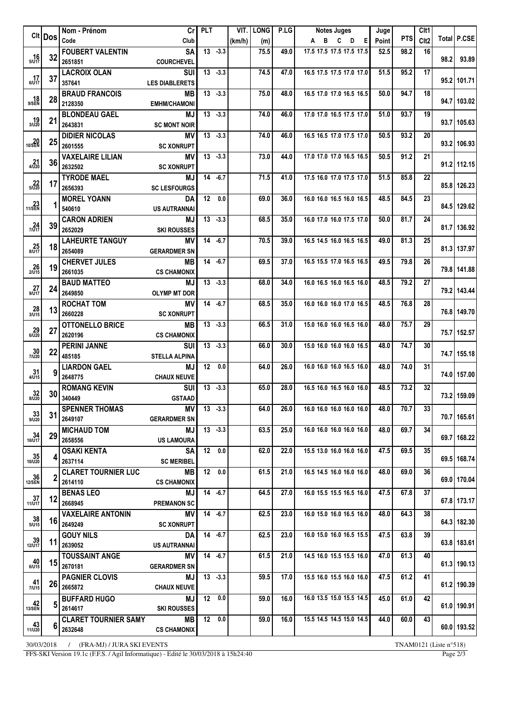|                        | CIt   Dos       | Nom - Prénom                  |                                | Crl PLT       |                     |        | VIT. LONG | P.LG  | <b>Notes Juges</b>            | Juge  |            | Clt1             |      |               |
|------------------------|-----------------|-------------------------------|--------------------------------|---------------|---------------------|--------|-----------|-------|-------------------------------|-------|------------|------------------|------|---------------|
|                        |                 | Code                          | Club                           |               |                     | (km/h) | (m)       |       | A B C D E                     | Point | <b>PTS</b> | Clt <sub>2</sub> |      | Total   P.CSE |
|                        |                 | <b>FOUBERT VALENTIN</b>       | <b>SA</b>                      |               | $13 - 3.3$          |        | 75.5      | 49.0  | 17.5 17.5 17.5 17.5 17.5      | 52.5  | 98.2       | 16               |      |               |
| $16$ <sub>5/U17</sub>  |                 | $32 _{2651851}$               | <b>COURCHEVEL</b>              |               |                     |        |           |       |                               |       |            |                  | 98.2 | 93.89         |
|                        |                 | <b>LACROIX OLAN</b>           | <b>SUI</b>                     |               | $13 - 3.3$          |        | 74.5      | 47.0  | 16.5 17.5 17.5 17.0 17.0      | 51.5  | 95.2       | 17               |      |               |
| $17$ <sub>6/U17</sub>  | 37              | 357641                        | <b>LES DIABLERETS</b>          |               |                     |        |           |       |                               |       |            |                  |      | 95.2 101.71   |
|                        |                 | <b>BRAUD FRANCOIS</b>         | MВ                             |               | $13 - 3.3$          |        | 75.0      | 48.0  | 16.5 17.0 17.0 16.5 16.5      | 50.0  | 94.7       | 18               |      |               |
| 9/SEN                  | <b>28</b>       | 2128350                       | <b>EMHM/CHAMONI</b>            |               |                     |        |           |       |                               |       |            |                  |      | 94.7   103.02 |
|                        |                 | <b>BLONDEAU GAEL</b>          | MJ                             |               | $13 - 3.3$          |        | 74.0      | 46.0  | 17.0 17.0 16.5 17.5 17.0      | 51.0  | 93.7       | 19               |      |               |
| $19 \choose 3/120$     | 21              | 2643831                       | <b>SC MONT NOIR</b>            |               |                     |        |           |       |                               |       |            |                  |      | 93.7   105.63 |
|                        |                 | <b>DIDIER NICOLAS</b>         | ΜV                             |               | $13 - 3.3$          |        | 74.0      | 46.0  | 16.5 16.5 17.0 17.5 17.0      | 50.5  | 93.2       | 20               |      |               |
| $20$ <sub>10/SEN</sub> | 25 <sub>l</sub> | 2601555                       | <b>SC XONRUPT</b>              |               |                     |        |           |       |                               |       |            |                  |      | 93.2 106.93   |
|                        |                 | <b>VAXELAIRE LILIAN</b>       | ΜV                             |               | $13 - 3.3$          |        | 73.0      | 44.0  | 17.0 17.0 17.0 16.5 16.5      | 50.5  | 91.2       | 21               |      |               |
| $4/\sqrt{220}$         | 36              | 2632502                       | <b>SC XONRUPT</b>              |               |                     |        |           |       |                               |       |            |                  |      | 91.2 112.15   |
|                        |                 | <b>TYRODE MAEL</b>            | MJ                             |               | $14 - 6.7$          |        | 71.5      | 41.0  | 17.5 16.0 17.0 17.5 17.0      | 51.5  | 85.8       | 22               |      |               |
| $\frac{22}{5/020}$     | 17              | 2656393                       | <b>SC LESFOURGS</b>            |               |                     |        |           |       |                               |       |            |                  |      | 85.8 126.23   |
|                        |                 |                               |                                |               | $\overline{12}$ 0.0 |        |           |       | 16.0 16.0 16.5 16.0 16.5      |       |            |                  |      |               |
| $23$ <sub>11/SEN</sub> |                 | <b>MOREL YOANN</b><br>540610  | DA                             |               |                     |        | 69.0      | 36.0  |                               | 48.5  | 84.5       | 23               |      | 84.5 129.62   |
|                        |                 |                               | <b>US AUTRANNAI</b>            |               |                     |        |           |       |                               |       |            |                  |      |               |
| $\frac{24}{7/017}$     | 39              | <b>CARON ADRIEN</b>           | MJ                             |               | $13 - 3.3$          |        | 68.5      | 35.0  | 16.0 17.0 16.0 17.5 17.0      | 50.0  | 81.7       | 24               |      | 81.7   136.92 |
|                        |                 | 2652029                       | <b>SKI ROUSSES</b>             |               |                     |        |           |       |                               |       |            |                  |      |               |
| $25$ <sub>8/U17</sub>  | 18              | <b>LAHEURTE TANGUY</b>        | MV                             |               | $14 - 6.7$          |        | 70.5      | 39.0  | 16.5 14.5 16.0 16.5 16.5      | 49.0  | 81.3       | 25               |      | 81.3 137.97   |
|                        |                 | 2654089                       | <b>GERARDMER SN</b>            |               |                     |        |           |       |                               |       |            |                  |      |               |
|                        | 19              | <b>CHERVET JULES</b>          | MВ                             |               | $14 - 6.7$          |        | 69.5      | 37.0  | 16.5 15.5 17.0 16.5 16.5      | 49.5  | 79.8       | 26               |      |               |
| $26$<br>$2/015$        |                 | 2661035                       | <b>CS CHAMONIX</b>             |               |                     |        |           |       |                               |       |            |                  |      | 79.8 141.88   |
|                        | 24              | <b>BAUD MATTEO</b>            | MJ                             |               | $13 - 3.3$          |        | 68.0      | 34.0  | 16.0 16.5 16.0 16.5 16.0      | 48.5  | 79.2       | 27               |      |               |
| $27_{9/017}$           |                 | 2649850                       | <b>OLYMP MT DOR</b>            |               |                     |        |           |       |                               |       |            |                  |      | 79.2 143.44   |
|                        |                 | ROCHAT TOM                    | <b>MV</b>                      |               | $14 - 6.7$          |        | 68.5      | 35.0  | 16.0 16.0 16.0 17.0 16.5      | 48.5  | 76.8       | 28               |      |               |
| $28_{3/115}$           | 13              | 2660228                       | <b>SC XONRUPT</b>              |               |                     |        |           |       |                               |       |            |                  |      | 76.8 149.70   |
|                        |                 | <b>OTTONELLO BRICE</b>        | MВ                             |               | $13 - 3.3$          |        | 66.5      | 31.0  | 15.0 16.0 16.0 16.5 16.0      | 48.0  | 75.7       | 29               |      |               |
| $29 \atop 6/020$       | 27              | 2620196                       | <b>CS CHAMONIX</b>             |               |                     |        |           |       |                               |       |            |                  |      | 75.7 152.57   |
|                        | 22              | <b>PERINI JANNE</b>           | <b>SUI</b>                     |               | $13 - 3.3$          |        | 66.0      | 30.0  | 15.0 16.0 16.0 16.0 16.5      | 48.0  | 74.7       | 30               |      |               |
| $\frac{30}{7/020}$     |                 | 485185                        | <b>STELLA ALPINA</b>           |               |                     |        |           |       |                               |       |            |                  |      | 74.7 155.18   |
|                        |                 | <b>LIARDON GAEL</b>           | MJ                             |               | 12 0.0              |        | 64.0      | 26.0  | 16.0 16.0 16.0 16.5 16.0      | 48.0  | 74.0       | 31               |      |               |
| $31$ $4/015$           |                 | 2648775                       | <b>CHAUX NEUVE</b>             |               |                     |        |           |       |                               |       |            |                  |      | 74.0 157.00   |
|                        |                 | <b>ROMANG KEVIN</b>           | <b>SUI</b>                     |               | $13 - 3.3$          |        | 65.0      | 28.0  | 16.5 16.0 16.5 16.0 16.0      | 48.5  | 73.2       | 32               |      |               |
| $32_{8/020}$           | 30              | 340449                        | <b>GSTAAD</b>                  |               |                     |        |           |       |                               |       |            |                  |      | 73.2 159.09   |
|                        |                 | <b>SPENNER THOMAS</b>         |                                | $MVI$ 13 -3.3 |                     |        | 64.0      |       | 26.0 16.0 16.0 16.0 16.0 16.0 | 48.0  | 70.7       | 33               |      |               |
| $33$ <sub>9/U20</sub>  | 31              | 2649107                       | <b>GERARDMER SN</b>            |               |                     |        |           |       |                               |       |            |                  |      | 70.7 165.61   |
|                        |                 | <b>MICHAUD TOM</b>            | <b>MJ</b>                      |               | $13 - 3.3$          |        | 63.5      | 25.0  | 16.0 16.0 16.0 16.0 16.0      | 48.0  | 69.7       | 34               |      |               |
| $34$ <sub>10/U17</sub> | 29              | 2658556                       | <b>US LAMOURA</b>              |               |                     |        |           |       |                               |       |            |                  |      | 69.7   168.22 |
|                        |                 |                               |                                |               | 120.0               |        | 62.0      | 22.0  | 15.5 13.0 16.0 16.0 16.0      | 47.5  | 69.5       | 35               |      |               |
| $35$ <sub>10/U20</sub> | 4               | <b>OSAKI KENTA</b><br>2637114 | <b>SA</b><br><b>SC MERIBEL</b> |               |                     |        |           |       |                               |       |            |                  |      | 69.5   168.74 |
|                        |                 |                               |                                |               | 12 0.0              |        |           |       | 16.5 14.5 16.0 16.0 16.0      |       |            |                  |      |               |
| $36$ <sub>12/SEN</sub> | 2               | <b>CLARET TOURNIER LUC</b>    | MВ                             |               |                     |        | 61.5      | 21.0  |                               | 48.0  | 69.0       | 36               |      | 69.0   170.04 |
|                        |                 | 2614110                       | <b>CS CHAMONIX</b>             |               |                     |        |           |       |                               |       |            |                  |      |               |
| $\frac{37}{11/117}$    | 12              | <b>BENAS LEO</b>              | MJ                             |               | $14 - 6.7$          |        | 64.5      | 27.0  | 16.0 15.5 15.5 16.5 16.0      | 47.5  | 67.8       | 37               |      | 67.8 173.17   |
|                        |                 | 2668945                       | <b>PREMANON SC</b>             |               |                     |        |           |       |                               |       |            |                  |      |               |
| $38$ <sub>5/U15</sub>  |                 | <b>VAXELAIRE ANTONIN</b>      | MV.                            |               | $14 - 6.7$          |        | 62.5      | 23.0  | 16.0 15.0 16.0 16.5 16.0      | 48.0  | 64.3       | 38               |      | 64.3 182.30   |
|                        |                 | 16 2649249                    | <b>SC XONRUPT</b>              |               |                     |        |           |       |                               |       |            |                  |      |               |
|                        |                 | <b>GOUY NILS</b>              | DA                             |               | $14 - 6.7$          |        | 62.5      | 23.0  | 16.0 15.0 16.0 16.5 15.5      | 47.5  | 63.8       | 39               |      |               |
| $39$ <sub>12/U17</sub> |                 | 11 2639052                    | US AUTRANNAI                   |               |                     |        |           |       |                               |       |            |                  |      | 63.8   183.61 |
|                        |                 | <b>TOUSSAINT ANGE</b>         | ΜV                             |               | $14 - 6.7$          |        | 61.5      | 21.0  | 14.5 16.0 15.5 15.5 16.0      | 47.0  | 61.3       | 40               |      |               |
| $40_{6/015}$           |                 | 15 2670181                    | <b>GERARDMER SN</b>            |               |                     |        |           |       |                               |       |            |                  |      | 61.3   190.13 |
|                        |                 | <b>PAGNIER CLOVIS</b>         | MJ                             |               | $13 - 3.3$          |        | 59.5      | 17.01 | 15.5 16.0 15.5 16.0 16.0      | 47.5  | 61.2       | 41               |      |               |
| $41$ <sub>7/U15</sub>  |                 | 26 2665872                    | <b>CHAUX NEUVE</b>             |               |                     |        |           |       |                               |       |            |                  |      | 61.2 190.39   |
|                        |                 | <b>BUFFARD HUGO</b>           | MJ                             |               | 12 0.0              |        | 59.0      | 16.0  | 16.0 13.5 15.0 15.5 14.5      | 45.0  | 61.0       | 42               |      |               |
| $42$<br>13/SEN         |                 | 5 2614617                     | <b>SKI ROUSSES</b>             |               |                     |        |           |       |                               |       |            |                  |      | 61.0 190.91   |
|                        |                 | <b>CLARET TOURNIER SAMY</b>   | MB I                           |               | 12 0.0              |        | 59.0      | 16.0  | 15.5 14.5 14.5 15.0 14.5      | 44.0  | 60.0       | 43               |      |               |
| $43$ <sub>11/U20</sub> | 61              | 2632648                       | <b>CS CHAMONIX</b>             |               |                     |        |           |       |                               |       |            |                  |      | 60.0 193.52   |
|                        |                 |                               |                                |               |                     |        |           |       |                               |       |            |                  |      |               |

30/03/2018 / (FRA-MJ) / JURA SKI EVENTS TNAM0121 (Liste n°518)

FFS-SKI Version 19.1c (F.F.S. / Agil Informatique) - Edité le 30/03/2018 à 15h24:40 Page 2/3